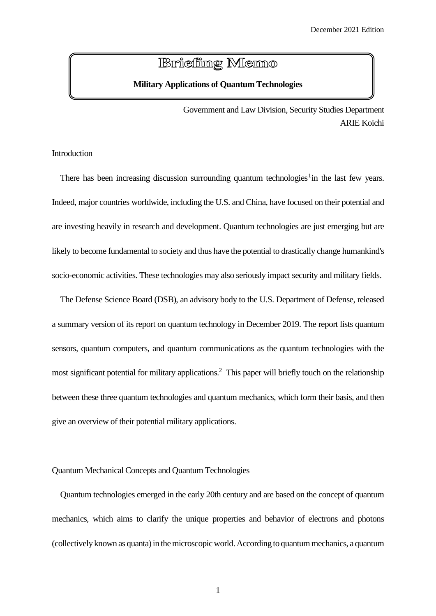# **Briefing Memo**

# **Military Applications of Quantum Technologies**

Government and Law Division, Security Studies Department ARIE Koichi

#### Introduction

There has been increasing discussion surrounding quantum technologies<sup>1</sup> in the last few years. Indeed, major countries worldwide, including the U.S. and China, have focused on their potential and are investing heavily in research and development. Quantum technologies are just emerging but are likely to become fundamental to society and thus have the potential to drastically change humankind's socio-economic activities. These technologies may also seriously impact security and military fields.

 The Defense Science Board (DSB), an advisory body to the U.S. Department of Defense, released a summary version of its report on quantum technology in December 2019. The report lists quantum sensors, quantum computers, and quantum communications as the quantum technologies with the most significant potential for military applications.<sup>2</sup> This paper will briefly touch on the relationship between these three quantum technologies and quantum mechanics, which form their basis, and then give an overview of their potential military applications.

#### Quantum Mechanical Concepts and Quantum Technologies

Quantum technologies emerged in the early 20th century and are based on the concept of quantum mechanics, which aims to clarify the unique properties and behavior of electrons and photons (collectively known as quanta) in the microscopic world. According to quantum mechanics, a quantum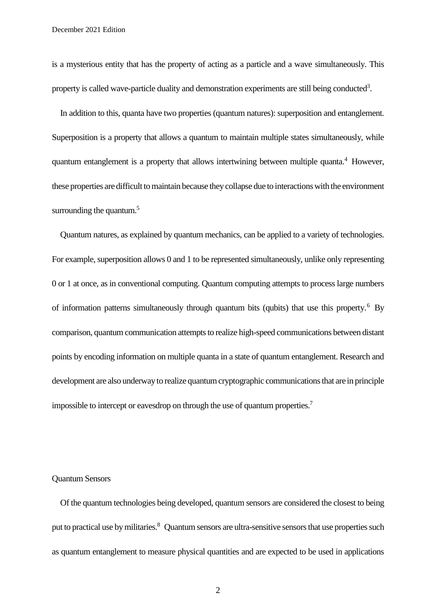is a mysterious entity that has the property of acting as a particle and a wave simultaneously. This property is called wave-particle duality and demonstration experiments are still being conducted<sup>3</sup>.

In addition to this, quanta have two properties (quantum natures): superposition and entanglement. Superposition is a property that allows a quantum to maintain multiple states simultaneously, while quantum entanglement is a property that allows intertwining between multiple quanta.<sup>4</sup> However, these properties are difficult to maintain because they collapse due to interactions with the environment surrounding the quantum. $5$ 

Quantum natures, as explained by quantum mechanics, can be applied to a variety of technologies. For example, superposition allows 0 and 1 to be represented simultaneously, unlike only representing 0 or 1 at once, as in conventional computing. Quantum computing attempts to process large numbers of information patterns simultaneously through quantum bits (qubits) that use this property.<sup>6</sup> By comparison, quantum communication attempts to realize high-speed communications between distant points by encoding information on multiple quanta in a state of quantum entanglement. Research and development are also underway to realize quantum cryptographic communications that are in principle impossible to intercept or eavesdrop on through the use of quantum properties.<sup>7</sup>

### Quantum Sensors

Of the quantum technologies being developed, quantum sensors are considered the closest to being put to practical use by militaries.<sup>8</sup> Quantum sensors are ultra-sensitive sensors that use properties such as quantum entanglement to measure physical quantities and are expected to be used in applications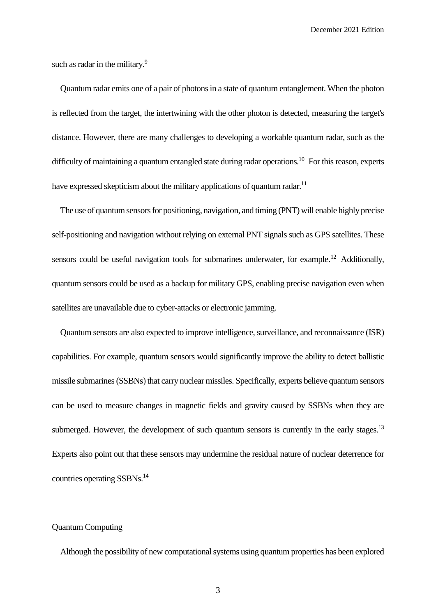such as radar in the military.<sup>9</sup>

Quantum radar emits one of a pair of photons in a state of quantum entanglement. When the photon is reflected from the target, the intertwining with the other photon is detected, measuring the target's distance. However, there are many challenges to developing a workable quantum radar, such as the difficulty of maintaining a quantum entangled state during radar operations.<sup>10</sup> For this reason, experts have expressed skepticism about the military applications of quantum radar.<sup>11</sup>

The use of quantum sensors for positioning, navigation, and timing (PNT) will enable highly precise self-positioning and navigation without relying on external PNT signals such as GPS satellites. These sensors could be useful navigation tools for submarines underwater, for example.<sup>12</sup> Additionally, quantum sensors could be used as a backup for military GPS, enabling precise navigation even when satellites are unavailable due to cyber-attacks or electronic jamming.

Quantum sensors are also expected to improve intelligence, surveillance, and reconnaissance (ISR) capabilities. For example, quantum sensors would significantly improve the ability to detect ballistic missile submarines (SSBNs) that carry nuclear missiles. Specifically, experts believe quantum sensors can be used to measure changes in magnetic fields and gravity caused by SSBNs when they are submerged. However, the development of such quantum sensors is currently in the early stages.<sup>13</sup> Experts also point out that these sensors may undermine the residual nature of nuclear deterrence for countries operating SSBNs.<sup>14</sup>

# Quantum Computing

Although the possibility of new computational systems using quantum properties has been explored

3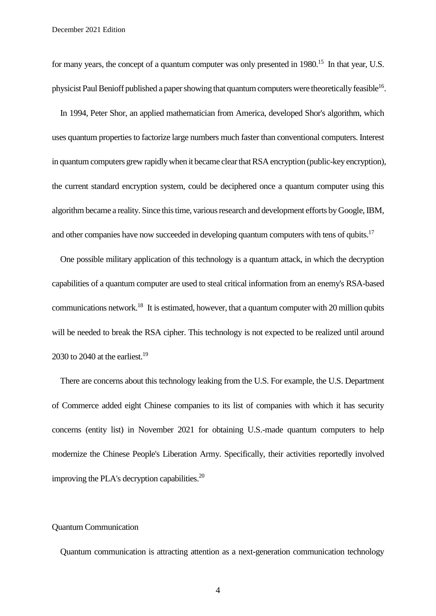for many years, the concept of a quantum computer was only presented in 1980.<sup>15</sup> In that year, U.S. physicist Paul Benioff published a paper showing that quantum computers were theoretically feasible  $^{16}$ .

In 1994, Peter Shor, an applied mathematician from America, developed Shor's algorithm, which uses quantum properties to factorize large numbers much faster than conventional computers. Interest in quantum computers grew rapidly when it became clear that RSA encryption (public-key encryption), the current standard encryption system, could be deciphered once a quantum computer using this algorithm became a reality. Since this time, various research and development efforts by Google, IBM, and other companies have now succeeded in developing quantum computers with tens of qubits.<sup>17</sup>

One possible military application of this technology is a quantum attack, in which the decryption capabilities of a quantum computer are used to steal critical information from an enemy's RSA-based communications network.<sup>18</sup> It is estimated, however, that a quantum computer with 20 million qubits will be needed to break the RSA cipher. This technology is not expected to be realized until around 2030 to 2040 at the earliest.<sup>19</sup>

There are concerns about this technology leaking from the U.S. For example, the U.S. Department of Commerce added eight Chinese companies to its list of companies with which it has security concerns (entity list) in November 2021 for obtaining U.S.-made quantum computers to help modernize the Chinese People's Liberation Army. Specifically, their activities reportedly involved improving the PLA's decryption capabilities.<sup>20</sup>

#### Quantum Communication

Quantum communication is attracting attention as a next-generation communication technology

4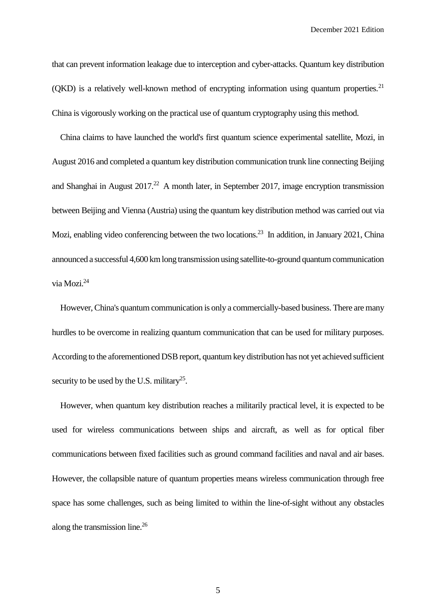that can prevent information leakage due to interception and cyber-attacks. Quantum key distribution (QKD) is a relatively well-known method of encrypting information using quantum properties.<sup>21</sup> China is vigorously working on the practical use of quantum cryptography using this method.

China claims to have launched the world's first quantum science experimental satellite, Mozi, in August 2016 and completed a quantum key distribution communication trunk line connecting Beijing and Shanghai in August  $2017<sup>22</sup>$  A month later, in September 2017, image encryption transmission between Beijing and Vienna (Austria) using the quantum key distribution method was carried out via Mozi, enabling video conferencing between the two locations.<sup>23</sup> In addition, in January 2021, China announced a successful 4,600 km long transmission using satellite-to-ground quantum communication via Mozi. 24

However, China's quantum communication is only a commercially-based business. There are many hurdles to be overcome in realizing quantum communication that can be used for military purposes. According to the aforementioned DSB report, quantum key distribution has not yet achieved sufficient security to be used by the U.S. military<sup>25</sup>.

However, when quantum key distribution reaches a militarily practical level, it is expected to be used for wireless communications between ships and aircraft, as well as for optical fiber communications between fixed facilities such as ground command facilities and naval and air bases. However, the collapsible nature of quantum properties means wireless communication through free space has some challenges, such as being limited to within the line-of-sight without any obstacles along the transmission line.<sup>26</sup>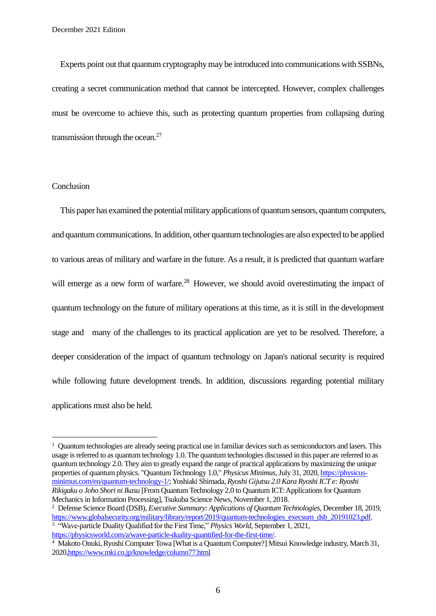Experts point out that quantum cryptography may be introduced into communications with SSBNs, creating a secret communication method that cannot be intercepted. However, complex challenges must be overcome to achieve this, such as protecting quantum properties from collapsing during transmission through the ocean.<sup>27</sup>

#### **Conclusion**

 $\overline{a}$ 

This paper has examined the potential military applications of quantum sensors, quantum computers, and quantum communications. In addition, other quantum technologies are also expected to be applied to various areas of military and warfare in the future. As a result, it is predicted that quantum warfare will emerge as a new form of warfare.<sup>28</sup> However, we should avoid overestimating the impact of quantum technology on the future of military operations at this time, as it is still in the development stage and many of the challenges to its practical application are yet to be resolved. Therefore, a deeper consideration of the impact of quantum technology on Japan's national security is required while following future development trends. In addition, discussions regarding potential military applications must also be held.

<sup>2</sup> Defense Science Board (DSB), *Executive Summary: Applications of Quantum Technologies*, December 18, 2019, [https://www.globalsecurity.org/military/library/report/2019/quantum-technologies\\_execsum\\_dsb\\_20191023.pdf.](https://www.globalsecurity.org/military/library/report/2019/quantum-technologies_execsum_dsb_20191023.pdf) <sup>3</sup> "Wave-particle Duality Qualified for the First Time," *Physics World*, September 1, 2021,

[https://physicsworld.com/a/wave-particle-duality-quantified-for-the-first-time/.](https://physicsworld.com/a/wave-particle-duality-quantified-for-the-first-time/)

 $1$  Quantum technologies are already seeing practical use in familiar devices such as semiconductors and lasers. This usage is referred to as quantum technology  $1.0$ . The quantum technologies discussed in this paper are referred to as quantum technology 2.0. They aim to greatly expand the range of practical applications by maximizing the unique properties of quantum physics. "Quantum Technology 1.0," *Physicus Minimus*, July 31, 2020, *https://physicus*[minimus.com/en/quantum-technology-1/;](https://physicus-minimus.com/en/quantum-technology-1/) Yoshiaki Shimada, *Ryoshi Gijutsu 2.0 Kara Ryoshi ICT e: Ryoshi Rikigaku o Joho Shori ni Ikasu* [From Quantum Technology 2.0 to Quantum ICT: Applications for Quantum Mechanics in Information Processing], Tsukuba Science News, November 1, 2018.

<sup>4</sup> Makoto Onuki, Ryoshi Computer Towa [What is a Quantum Computer?] Mitsui Knowledge industry, March 31, 2020[,https://www.mki.co.jp/knowledge/column77.html](https://www.mki.co.jp/knowledge/column77.html)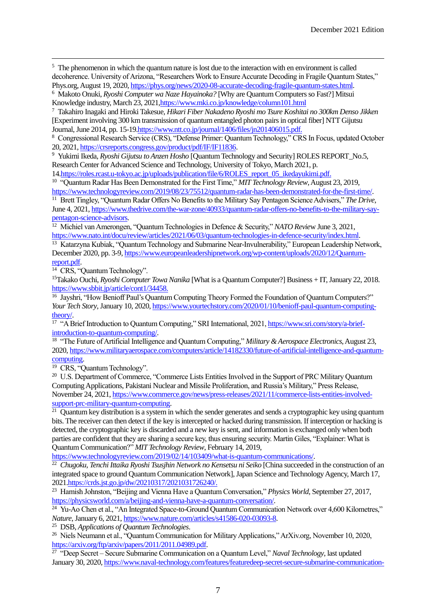<sup>5</sup> The phenomenon in which the quantum nature is lost due to the interaction with en environment is called decoherence. University of Arizona, "Researchers Work to Ensure Accurate Decoding in Fragile Quantum States," Phys.org, August 19, 2020[, https://phys.org/news/2020-08-accurate-decoding-fragile-quantum-states.html.](https://phys.org/news/2020-08-accurate-decoding-fragile-quantum-states.html)

<sup>6</sup> Makoto Onuki, *Ryoshi Computer wa Naze Hayainoka?* [Why are Quantum Computers so Fast?] Mitsui Knowledge industry, March 23, 202[1,https://www.mki.co.jp/knowledge/column101.html](https://www.mki.co.jp/knowledge/column101.html)

<sup>7</sup> Takahiro Inagaki and Hiroki Takesue, *Hikari Fiber Nakadeno Ryoshi mo Tsure Koshitai no 300km Denso Jikken* [Experiment involving 300 km transmission of quantum entangled photon pairs in optical fiber] NTT Gijutsu Journal, June 2014, pp. 15-1[9.https://www.ntt.co.jp/journal/1406/files/jn201406015.pdf.](https://www.ntt.co.jp/journal/1406/files/jn201406015.pdf)

<sup>8</sup> Congressional Research Service (CRS), "Defense Primer: Quantum Technology," CRS In Focus, updated October 20, 2021[, https://crsreports.congress.gov/product/pdf/IF/IF11836.](https://crsreports.congress.gov/product/pdf/IF/IF11836)

<sup>9</sup> Yukimi Ikeda, *Ryoshi Gijutsu to Anzen Hosho* [Quantum Technology and Security] ROLES REPORT\_No.5, Research Center for Advanced Science and Technology, University of Tokyo, March 2021, p.

1[4.https://roles.rcast.u-tokyo.ac.jp/uploads/publication/file/6/ROLES\\_report\\_05\\_ikedayukimi.pdf.](https://roles.rcast.u-tokyo.ac.jp/uploads/publication/file/6/ROLES_report_05_ikedayukimi.pdf) <sup>10</sup> "Quantum Radar Has Been Demonstrated for the First Time," *MIT Technology Review*, August 23, 2019, [https://www.technologyreview.com/2019/08/23/75512/quantum-radar-has-been-demonstrated-for-the-first-time/.](https://www.technologyreview.com/2019/08/23/75512/quantum-radar-has-been-demonstrated-for-the-first-time/)

<sup>11</sup> Brett Tingley, "Quantum Radar Offers No Benefits to the Military Say Pentagon Science Advisers," *The Drive*, June 4, 2021[, https://www.thedrive.com/the-war-zone/40933/quantum-radar-offers-no-benefits-to-the-military-say](https://www.thedrive.com/the-war-zone/40933/quantum-radar-offers-no-benefits-to-the-military-say-pentagon-science-advisors)[pentagon-science-advisors.](https://www.thedrive.com/the-war-zone/40933/quantum-radar-offers-no-benefits-to-the-military-say-pentagon-science-advisors)

<sup>12</sup> Michiel van Amerongen, "Quantum Technologies in Defence & Security," *NATO Revie*w June 3, 2021, [https://www.nato.int/docu/review/articles/2021/06/03/quantum-technologies-in-defence-security/index.html.](https://www.nato.int/docu/review/articles/2021/06/03/quantum-technologies-in-defence-security/index.html)

<sup>13</sup> Katarzyna Kubiak, "Quantum Technology and Submarine Near-Invulnerability," European Leadership Network, December 2020, pp. 3-9[, https://www.europeanleadershipnetwork.org/wp-content/uploads/2020/12/Quantum](https://www.europeanleadershipnetwork.org/wp-content/uploads/2020/12/Quantum-report.pdf)[report.pdf.](https://www.europeanleadershipnetwork.org/wp-content/uploads/2020/12/Quantum-report.pdf)

<sup>14</sup> CRS, "Quantum Technology".

 $\overline{a}$ 

<sup>15</sup>Takako Ouchi, *Ryoshi Computer Towa Nanika* [What is a Quantum Computer?] Business + IT, January 22, 2018. [https://www.sbbit.jp/article/cont1/34458.](https://www.sbbit.jp/article/cont1/34458)

<sup>16</sup> Jayshri, "How Benioff Paul's Quantum Computing Theory Formed the Foundation of Quantum Computers?" *Your Tech Story*, January 10, 2020[, https://www.yourtechstory.com/2020/01/10/benioff-paul-quantum-computing](https://www.yourtechstory.com/2020/01/10/benioff-paul-quantum-computing-theory/)[theory/.](https://www.yourtechstory.com/2020/01/10/benioff-paul-quantum-computing-theory/)

<sup>17</sup> "A Brief Introduction to Quantum Computing," SRI International, 2021[, https://www.sri.com/story/a-brief](https://www.sri.com/story/a-brief-introduction-to-quantum-computing/)[introduction-to-quantum-computing/.](https://www.sri.com/story/a-brief-introduction-to-quantum-computing/)

<sup>18</sup> "The Future of Artificial Intelligence and Quantum Computing," *Military & Aerospace Electronics*, August 23, 2020[, https://www.militaryaerospace.com/computers/article/14182330/future-of-artificial-intelligence-and-quantum](https://www.militaryaerospace.com/computers/article/14182330/future-of-artificial-intelligence-and-quantum-computing)[computing.](https://www.militaryaerospace.com/computers/article/14182330/future-of-artificial-intelligence-and-quantum-computing)

<sup>19</sup> CRS, "Quantum Technology".

<sup>20</sup> U.S. Department of Commerce, "Commerce Lists Entities Involved in the Support of PRC Military Quantum Computing Applications, Pakistani Nuclear and Missile Proliferation, and Russia's Military," Press Release, November 24, 2021[, https://www.commerce.gov/news/press-releases/2021/11/commerce-lists-entities-involved](https://www.commerce.gov/news/press-releases/2021/11/commerce-lists-entities-involved-support-prc-military-quantum-computing)[support-prc-military-quantum-computing.](https://www.commerce.gov/news/press-releases/2021/11/commerce-lists-entities-involved-support-prc-military-quantum-computing)

 $21$  Quantum key distribution is a system in which the sender generates and sends a cryptographic key using quantum bits. The receiver can then detect if the key is intercepted or hacked during transmission. If interception or hacking is detected, the cryptographic key is discarded and a new key is sent, and information is exchanged only when both parties are confident that they are sharing a secure key, thus ensuring security. Martin Giles, "Explainer: What is Quantum Communication?" *MIT Technology Review*, February 14, 2019,

[https://www.technologyreview.com/2019/02/14/103409/what-is-quantum-communications/.](https://www.technologyreview.com/2019/02/14/103409/what-is-quantum-communications/)

<sup>22</sup> Chugoku, Tenchi Ittaika Ryoshi Tsusjhin Network no Kensetsu ni Seiko [China succeeded in the construction of an integrated space to ground Quantum Communication Network], Japan Science and Technology Agency, March 17, 2021[.https://crds.jst.go.jp/dw/20210317/2021031726240/.](https://crds.jst.go.jp/dw/20210317/2021031726240/)

<sup>23</sup> Hamish Johnston, "Beijing and Vienna Have a Quantum Conversation," *Physics World*, September 27, 2017, [https://physicsworld.com/a/beijing-and-vienna-have-a-quantum-conversation/.](https://physicsworld.com/a/beijing-and-vienna-have-a-quantum-conversation/)

<sup>24</sup> Yu-Ao Chen et al., "An Integrated Space-to-Ground Quantum Communication Network over 4,600 Kilometres." *Nature*, January 6, 2021[, https://www.nature.com/articles/s41586-020-03093-8.](https://www.nature.com/articles/s41586-020-03093-8)

<sup>25</sup> DSB, *Applications of Quantum Technologies*.

<sup>26</sup> Niels Neumann et al., "Quantum Communication for Military Applications," ArXiv.org, November 10, 2020, [https://arxiv.org/ftp/arxiv/papers/2011/2011.04989.pdf.](https://arxiv.org/ftp/arxiv/papers/2011/2011.04989.pdf)

<sup>27</sup> "Deep Secret – Secure Submarine Communication on a Quantum Level," *Naval Technology*, last updated January 30, 2020[, https://www.naval-technology.com/features/featuredeep-secret-secure-submarine-communication-](https://www.naval-technology.com/features/featuredeep-secret-secure-submarine-communication-on-a-quantum-level/)